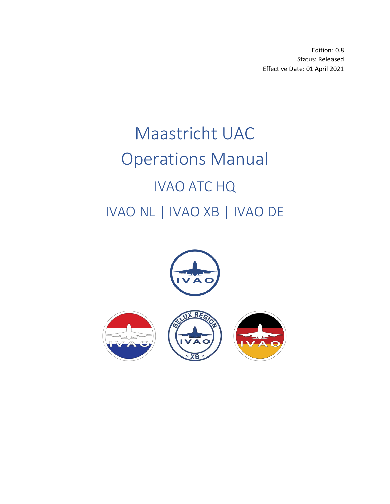Edition: 0.8 Status: Released Effective Date: 01 April 2021

# Maastricht UAC Operations Manual IVAO ATC HQ IVAO NL | IVAO XB | IVAO DE

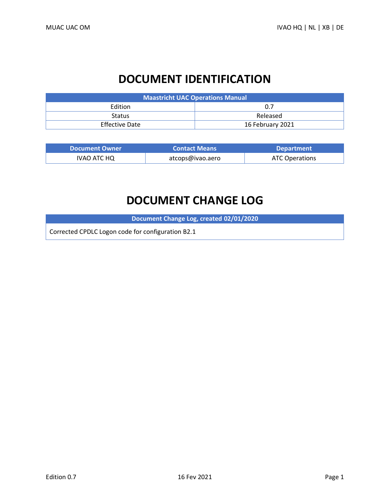# **DOCUMENT IDENTIFICATION**

| <b>Maastricht UAC Operations Manual</b> |                  |  |  |
|-----------------------------------------|------------------|--|--|
| <b>Edition</b>                          | 0.7              |  |  |
| <b>Status</b>                           | Released         |  |  |
| <b>Effective Date</b>                   | 16 February 2021 |  |  |

| <b>Document Owner</b> | <b>Contact Means</b> | <b>Department</b> |
|-----------------------|----------------------|-------------------|
| IVAO ATC HQ           | atcops@ivao.aero     | ATC Operations    |

# **DOCUMENT CHANGE LOG**

**Document Change Log, created 02/01/2020**

Corrected CPDLC Logon code for configuration B2.1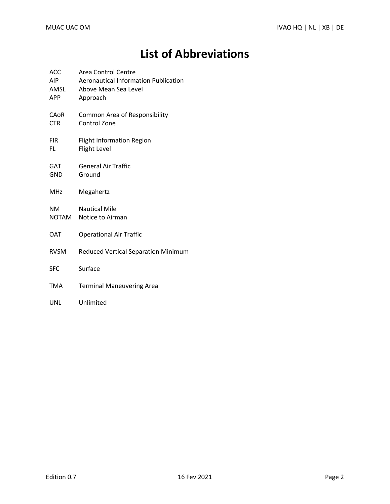# **List of Abbreviations**

| <b>ACC</b><br><b>AIP</b><br>AMSL<br><b>APP</b> | <b>Area Control Centre</b><br><b>Aeronautical Information Publication</b><br>Above Mean Sea Level<br>Approach |
|------------------------------------------------|---------------------------------------------------------------------------------------------------------------|
| CAoR<br><b>CTR</b>                             | Common Area of Responsibility<br>Control Zone                                                                 |
| <b>FIR</b><br>FL                               | <b>Flight Information Region</b><br>Flight Level                                                              |
| GAT<br><b>GND</b>                              | <b>General Air Traffic</b><br>Ground                                                                          |
| MHz                                            | Megahertz                                                                                                     |
| <b>NM</b><br>NOTAM                             | <b>Nautical Mile</b><br>Notice to Airman                                                                      |
| <b>OAT</b>                                     | <b>Operational Air Traffic</b>                                                                                |
| <b>RVSM</b>                                    | <b>Reduced Vertical Separation Minimum</b>                                                                    |
| <b>SFC</b>                                     | Surface                                                                                                       |
| <b>TMA</b>                                     | <b>Terminal Maneuvering Area</b>                                                                              |
| UNL                                            | Unlimited                                                                                                     |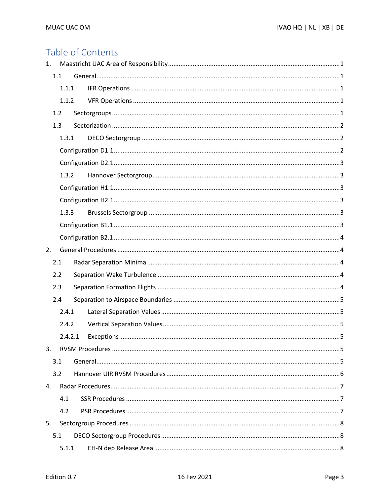# Table of Contents

| 1. |     |         |  |  |
|----|-----|---------|--|--|
|    | 1.1 |         |  |  |
|    |     | 1.1.1   |  |  |
|    |     | 1.1.2   |  |  |
|    | 1.2 |         |  |  |
|    | 1.3 |         |  |  |
|    |     | 1.3.1   |  |  |
|    |     |         |  |  |
|    |     |         |  |  |
|    |     | 1.3.2   |  |  |
|    |     |         |  |  |
|    |     |         |  |  |
|    |     | 1.3.3   |  |  |
|    |     |         |  |  |
|    |     |         |  |  |
| 2. |     |         |  |  |
|    | 2.1 |         |  |  |
|    | 2.2 |         |  |  |
|    | 2.3 |         |  |  |
|    | 2.4 |         |  |  |
|    |     | 2.4.1   |  |  |
|    |     | 2.4.2   |  |  |
|    |     | 2.4.2.1 |  |  |
| 3. |     |         |  |  |
|    | 3.1 |         |  |  |
|    | 3.2 |         |  |  |
| 4. |     |         |  |  |
|    |     | 4.1     |  |  |
|    |     | 4.2     |  |  |
| 5. |     |         |  |  |
|    | 5.1 |         |  |  |
|    |     | 5.1.1   |  |  |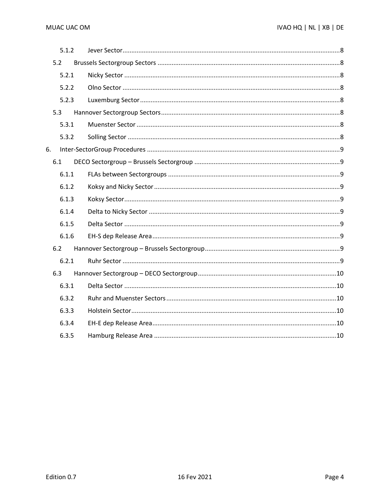| 5.1.2 |  |
|-------|--|
| 5.2   |  |
| 5.2.1 |  |
| 5.2.2 |  |
| 5.2.3 |  |
| 5.3   |  |
| 5.3.1 |  |
| 5.3.2 |  |
| 6.    |  |
| 6.1   |  |
| 6.1.1 |  |
| 6.1.2 |  |
| 6.1.3 |  |
| 6.1.4 |  |
| 6.1.5 |  |
| 6.1.6 |  |
| 6.2   |  |
| 6.2.1 |  |
| 6.3   |  |
| 6.3.1 |  |
| 6.3.2 |  |
| 6.3.3 |  |
| 6.3.4 |  |
| 6.3.5 |  |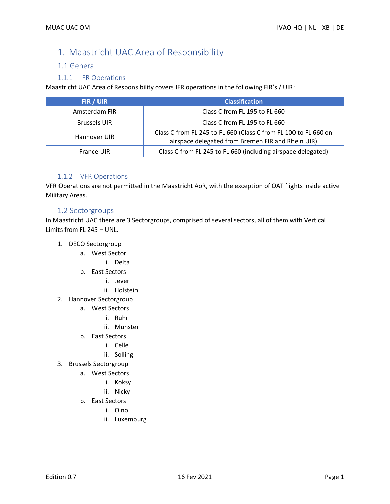# <span id="page-5-0"></span>1. Maastricht UAC Area of Responsibility

#### <span id="page-5-1"></span>1.1 General

#### 1.1.1 IFR Operations

<span id="page-5-2"></span>Maastricht UAC Area of Responsibility covers IFR operations in the following FIR's / UIR:

| FIR / UIR           | <b>Classification</b>                                                                                                |
|---------------------|----------------------------------------------------------------------------------------------------------------------|
| Amsterdam FIR       | Class C from FL 195 to FL 660                                                                                        |
| <b>Brussels UIR</b> | Class C from FL 195 to FL 660                                                                                        |
| Hannover UIR        | Class C from FL 245 to FL 660 (Class C from FL 100 to FL 660 on<br>airspace delegated from Bremen FIR and Rhein UIR) |
| <b>France UIR</b>   | Class C from FL 245 to FL 660 (including airspace delegated)                                                         |

#### 1.1.2 VFR Operations

<span id="page-5-3"></span>VFR Operations are not permitted in the Maastricht AoR, with the exception of OAT flights inside active Military Areas.

#### <span id="page-5-4"></span>1.2 Sectorgroups

In Maastricht UAC there are 3 Sectorgroups, comprised of several sectors, all of them with Vertical Limits from FL 245 – UNL.

- 1. DECO Sectorgroup
	- a. West Sector
		- i. Delta
	- b. East Sectors
		- i. Jever
		- ii. Holstein
- 2. Hannover Sectorgroup
	- a. West Sectors
		- i. Ruhr
		- ii. Munster
	- b. East Sectors
		- i. Celle
		- ii. Solling
- 3. Brussels Sectorgroup
	- a. West Sectors
		- i. Koksy
		- ii. Nicky
	- b. East Sectors
		- i. Olno
		- ii. Luxemburg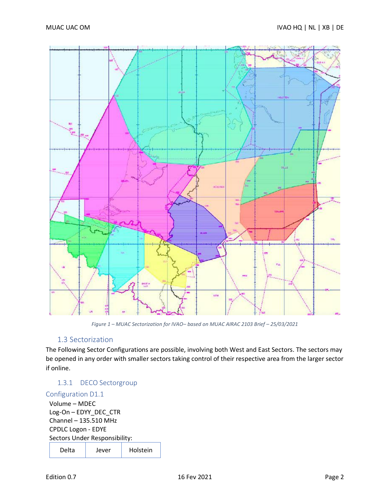

*Figure 1 – MUAC Sectorization for IVAO– based on MUAC AIRAC 2103 Brief – 25/03/2021*

#### 1.3 Sectorization

<span id="page-6-0"></span>The Following Sector Configurations are possible, involving both West and East Sectors. The sectors may be opened in any order with smaller sectors taking control of their respective area from the larger sector if online.

### <span id="page-6-1"></span>1.3.1 DECO Sectorgroup

#### <span id="page-6-2"></span>Configuration D1.1

Volume – MDEC Log-On – EDYY\_DEC\_CTR Channel – 135.510 MHz CPDLC Logon - EDYE Sectors Under Responsibility: Delta | Jever | Holstein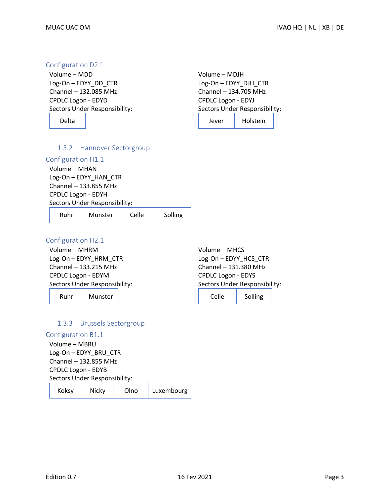#### <span id="page-7-0"></span>Configuration D2.1

Volume – MDD Log-On – EDYY\_DD\_CTR Channel – 132.085 MHz CPDLC Logon - EDYD Sectors Under Responsibility:

Delta

Volume – MDJH Log-On – EDYY\_DJH\_CTR Channel – 134.705 MHz CPDLC Logon - EDYJ Sectors Under Responsibility: Jever Holstein

<span id="page-7-1"></span>

|  | 1.3.2 Hannover Sectorgroup |
|--|----------------------------|
|--|----------------------------|

#### <span id="page-7-2"></span>Configuration H1.1

Volume – MHAN Log-On – EDYY\_HAN\_CTR Channel – 133.855 MHz CPDLC Logon - EDYH Sectors Under Responsibility:

| Ruhr | Munster | Celle | Solling |
|------|---------|-------|---------|
|      |         |       |         |

#### <span id="page-7-3"></span>Configuration H2.1

Volume – MHRM Log-On – EDYY\_HRM\_CTR Channel – 133.215 MHz CPDLC Logon - EDYM Sectors Under Responsibility:

Ruhr | Munster

Volume – MHCS Log-On – EDYY\_HCS\_CTR Channel – 131.380 MHz CPDLC Logon - EDYS Sectors Under Responsibility:

Celle Solling

#### 1.3.3 Brussels Sectorgroup

<span id="page-7-5"></span><span id="page-7-4"></span>Configuration B1.1

Volume – MBRU Log-On – EDYY\_BRU\_CTR Channel – 132.855 MHz CPDLC Logon - EDYB Sectors Under Responsibility:

| Koksy | Nicky | Olno | Luxembourg |  |
|-------|-------|------|------------|--|
|-------|-------|------|------------|--|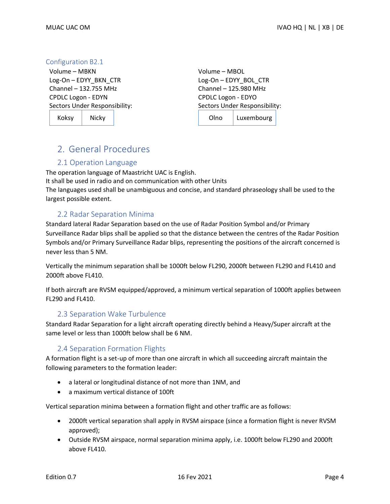#### <span id="page-8-0"></span>Configuration B2.1

Volume – MBKN Log-On – EDYY\_BKN\_CTR Channel – 132.755 MHz CPDLC Logon - EDYN Sectors Under Responsibility:

Koksy | Nicky

Volume – MBOL Log-On – EDYY\_BOL\_CTR Channel – 125.980 MHz CPDLC Logon - EDYO Sectors Under Responsibility: Olno Luxembourg

# <span id="page-8-1"></span>2. General Procedures

#### 2.1 Operation Language

The operation language of Maastricht UAC is English. It shall be used in radio and on communication with other Units The languages used shall be unambiguous and concise, and standard phraseology shall be used to the largest possible extent.

#### 2.2 Radar Separation Minima

<span id="page-8-2"></span>Standard lateral Radar Separation based on the use of Radar Position Symbol and/or Primary Surveillance Radar blips shall be applied so that the distance between the centres of the Radar Position Symbols and/or Primary Surveillance Radar blips, representing the positions of the aircraft concerned is never less than 5 NM.

Vertically the minimum separation shall be 1000ft below FL290, 2000ft between FL290 and FL410 and 2000ft above FL410.

If both aircraft are RVSM equipped/approved, a minimum vertical separation of 1000ft applies between FL290 and FL410.

#### 2.3 Separation Wake Turbulence

<span id="page-8-3"></span>Standard Radar Separation for a light aircraft operating directly behind a Heavy/Super aircraft at the same level or less than 1000ft below shall be 6 NM.

#### 2.4 Separation Formation Flights

<span id="page-8-4"></span>A formation flight is a set-up of more than one aircraft in which all succeeding aircraft maintain the following parameters to the formation leader:

- a lateral or longitudinal distance of not more than 1NM, and
- a maximum vertical distance of 100ft

Vertical separation minima between a formation flight and other traffic are as follows:

- 2000ft vertical separation shall apply in RVSM airspace (since a formation flight is never RVSM approved);
- Outside RVSM airspace, normal separation minima apply, i.e. 1000ft below FL290 and 2000ft above FL410.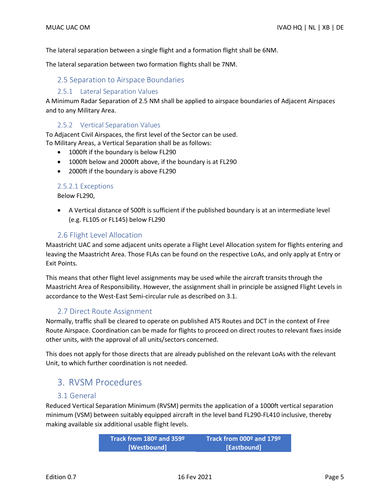The lateral separation between a single flight and a formation flight shall be 6NM.

<span id="page-9-0"></span>The lateral separation between two formation flights shall be 7NM.

#### 2.5 Separation to Airspace Boundaries

#### 2.5.1 Lateral Separation Values

<span id="page-9-1"></span>A Minimum Radar Separation of 2.5 NM shall be applied to airspace boundaries of Adjacent Airspaces and to any Military Area.

#### 2.5.2 Vertical Separation Values

<span id="page-9-2"></span>To Adjacent Civil Airspaces, the first level of the Sector can be used. To Military Areas, a Vertical Separation shall be as follows:

- 1000ft if the boundary is below FL290
- 1000ft below and 2000ft above, if the boundary is at FL290
- 2000ft if the boundary is above FL290

#### <span id="page-9-3"></span>2.5.2.1 Exceptions

Below FL290,

• A Vertical distance of 500ft is sufficient if the published boundary is at an intermediate level (e.g. FL105 or FL145) below FL290

#### 2.6 Flight Level Allocation

Maastricht UAC and some adjacent units operate a Flight Level Allocation system for flights entering and leaving the Maastricht Area. Those FLAs can be found on the respective LoAs, and only apply at Entry or Exit Points.

This means that other flight level assignments may be used while the aircraft transits through the Maastricht Area of Responsibility. However, the assignment shall in principle be assigned Flight Levels in accordance to the West-East Semi-circular rule as described on 3.1.

#### 2.7 Direct Route Assignment

Normally, traffic shall be cleared to operate on published ATS Routes and DCT in the context of Free Route Airspace. Coordination can be made for flights to proceed on direct routes to relevant fixes inside other units, with the approval of all units/sectors concerned.

This does not apply for those directs that are already published on the relevant LoAs with the relevant Unit, to which further coordination is not needed.

## 3. RVSM Procedures

#### 3.1 General

<span id="page-9-5"></span>Reduced Vertical Separation Minimum (RVSM) permits the application of a 1000ft vertical separation minimum (VSM) between suitably equipped aircraft in the level band FL290-FL410 inclusive, thereby making available six additional usable flight levels.

> <span id="page-9-4"></span>**Track from 180º and 359º [Westbound] Track from 000º and 179º [Eastbound]**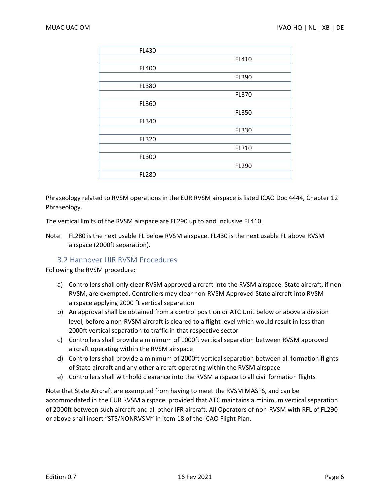| FL430 |              |
|-------|--------------|
|       | FL410        |
| FL400 |              |
|       | FL390        |
| FL380 |              |
|       | FL370        |
| FL360 |              |
|       | <b>FL350</b> |
| FL340 |              |
|       | FL330        |
| FL320 |              |
|       | FL310        |
| FL300 |              |
|       | FL290        |
| FL280 |              |

Phraseology related to RVSM operations in the EUR RVSM airspace is listed ICAO Doc 4444, Chapter 12 Phraseology.

The vertical limits of the RVSM airspace are FL290 up to and inclusive FL410.

Note: FL280 is the next usable FL below RVSM airspace. FL430 is the next usable FL above RVSM airspace (2000ft separation).

#### 3.2 Hannover UIR RVSM Procedures

<span id="page-10-0"></span>Following the RVSM procedure:

- a) Controllers shall only clear RVSM approved aircraft into the RVSM airspace. State aircraft, if non-RVSM, are exempted. Controllers may clear non-RVSM Approved State aircraft into RVSM airspace applying 2000 ft vertical separation
- b) An approval shall be obtained from a control position or ATC Unit below or above a division level, before a non-RVSM aircraft is cleared to a flight level which would result in less than 2000ft vertical separation to traffic in that respective sector
- c) Controllers shall provide a minimum of 1000ft vertical separation between RVSM approved aircraft operating within the RVSM airspace
- d) Controllers shall provide a minimum of 2000ft vertical separation between all formation flights of State aircraft and any other aircraft operating within the RVSM airspace
- e) Controllers shall withhold clearance into the RVSM airspace to all civil formation flights

Note that State Aircraft are exempted from having to meet the RVSM MASPS, and can be accommodated in the EUR RVSM airspace, provided that ATC maintains a minimum vertical separation of 2000ft between such aircraft and all other IFR aircraft. All Operators of non-RVSM with RFL of FL290 or above shall insert "STS/NONRVSM" in item 18 of the ICAO Flight Plan.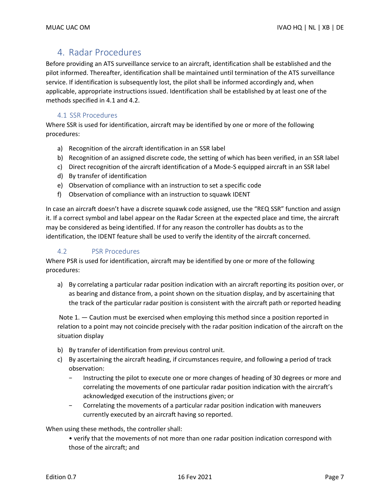## <span id="page-11-0"></span>4. Radar Procedures

Before providing an ATS surveillance service to an aircraft, identification shall be established and the pilot informed. Thereafter, identification shall be maintained until termination of the ATS surveillance service. If identification is subsequently lost, the pilot shall be informed accordingly and, when applicable, appropriate instructions issued. Identification shall be established by at least one of the methods specified in 4.1 and 4.2.

#### 4.1 SSR Procedures

<span id="page-11-1"></span>Where SSR is used for identification, aircraft may be identified by one or more of the following procedures:

- a) Recognition of the aircraft identification in an SSR label
- b) Recognition of an assigned discrete code, the setting of which has been verified, in an SSR label
- c) Direct recognition of the aircraft identification of a Mode-S equipped aircraft in an SSR label
- d) By transfer of identification
- e) Observation of compliance with an instruction to set a specific code
- f) Observation of compliance with an instruction to squawk IDENT

In case an aircraft doesn't have a discrete squawk code assigned, use the "REQ SSR" function and assign it. If a correct symbol and label appear on the Radar Screen at the expected place and time, the aircraft may be considered as being identified. If for any reason the controller has doubts as to the identification, the IDENT feature shall be used to verify the identity of the aircraft concerned.

#### <span id="page-11-2"></span>4.2 PSR Procedures

Where PSR is used for identification, aircraft may be identified by one or more of the following procedures:

a) By correlating a particular radar position indication with an aircraft reporting its position over, or as bearing and distance from, a point shown on the situation display, and by ascertaining that the track of the particular radar position is consistent with the aircraft path or reported heading

Note 1. — Caution must be exercised when employing this method since a position reported in relation to a point may not coincide precisely with the radar position indication of the aircraft on the situation display

- b) By transfer of identification from previous control unit.
- c) By ascertaining the aircraft heading, if circumstances require, and following a period of track observation:
	- − Instructing the pilot to execute one or more changes of heading of 30 degrees or more and correlating the movements of one particular radar position indication with the aircraft's acknowledged execution of the instructions given; or
	- − Correlating the movements of a particular radar position indication with maneuvers currently executed by an aircraft having so reported.

When using these methods, the controller shall:

• verify that the movements of not more than one radar position indication correspond with those of the aircraft; and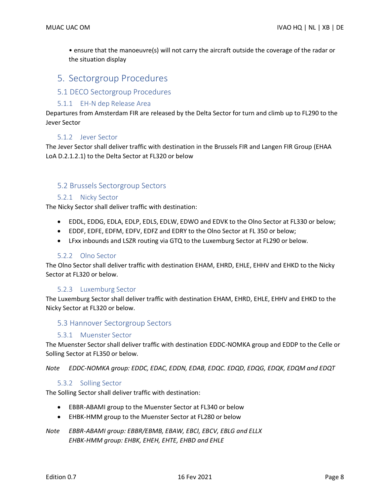• ensure that the manoeuvre(s) will not carry the aircraft outside the coverage of the radar or the situation display

### <span id="page-12-0"></span>5. Sectorgroup Procedures

#### <span id="page-12-1"></span>5.1 DECO Sectorgroup Procedures

#### 5.1.1 EH-N dep Release Area

<span id="page-12-2"></span>Departures from Amsterdam FIR are released by the Delta Sector for turn and climb up to FL290 to the Jever Sector

#### 5.1.2 Jever Sector

<span id="page-12-3"></span>The Jever Sector shall deliver traffic with destination in the Brussels FIR and Langen FIR Group (EHAA LoA D.2.1.2.1) to the Delta Sector at FL320 or below

#### <span id="page-12-4"></span>5.2 Brussels Sectorgroup Sectors

#### 5.2.1 Nicky Sector

<span id="page-12-5"></span>The Nicky Sector shall deliver traffic with destination:

- EDDL, EDDG, EDLA, EDLP, EDLS, EDLW, EDWO and EDVK to the Olno Sector at FL330 or below;
- EDDF, EDFE, EDFM, EDFV, EDFZ and EDRY to the Olno Sector at FL 350 or below;
- LFxx inbounds and LSZR routing via GTQ to the Luxemburg Sector at FL290 or below.

#### 5.2.2 Olno Sector

<span id="page-12-6"></span>The Olno Sector shall deliver traffic with destination EHAM, EHRD, EHLE, EHHV and EHKD to the Nicky Sector at FL320 or below.

#### 5.2.3 Luxemburg Sector

<span id="page-12-7"></span>The Luxemburg Sector shall deliver traffic with destination EHAM, EHRD, EHLE, EHHV and EHKD to the Nicky Sector at FL320 or below.

#### <span id="page-12-8"></span>5.3 Hannover Sectorgroup Sectors

#### 5.3.1 Muenster Sector

<span id="page-12-9"></span>The Muenster Sector shall deliver traffic with destination EDDC-NOMKA group and EDDP to the Celle or Solling Sector at FL350 or below.

*Note EDDC-NOMKA group: EDDC, EDAC, EDDN, EDAB, EDQC. EDQD, EDQG, EDQK, EDQM and EDQT*

#### 5.3.2 Solling Sector

<span id="page-12-10"></span>The Solling Sector shall deliver traffic with destination:

- EBBR-ABAMI group to the Muenster Sector at FL340 or below
- EHBK-HMM group to the Muenster Sector at FL280 or below
- *Note EBBR-ABAMI group: EBBR/EBMB, EBAW, EBCI, EBCV, EBLG and ELLX EHBK-HMM group: EHBK, EHEH, EHTE, EHBD and EHLE*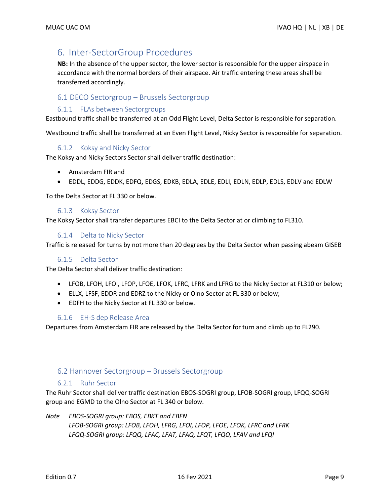## <span id="page-13-0"></span>6. Inter-SectorGroup Procedures

**NB:** In the absence of the upper sector, the lower sector is responsible for the upper airspace in accordance with the normal borders of their airspace. Air traffic entering these areas shall be transferred accordingly.

#### <span id="page-13-1"></span>6.1 DECO Sectorgroup – Brussels Sectorgroup

#### 6.1.1 FLAs between Sectorgroups

<span id="page-13-2"></span>Eastbound traffic shall be transferred at an Odd Flight Level, Delta Sector is responsible for separation.

Westbound traffic shall be transferred at an Even Flight Level, Nicky Sector is responsible for separation.

#### 6.1.2 Koksy and Nicky Sector

<span id="page-13-3"></span>The Koksy and Nicky Sectors Sector shall deliver traffic destination:

- Amsterdam FIR and
- EDDL, EDDG, EDDK, EDFQ, EDGS, EDKB, EDLA, EDLE, EDLI, EDLN, EDLP, EDLS, EDLV and EDLW

To the Delta Sector at FL 330 or below.

#### 6.1.3 Koksy Sector

<span id="page-13-4"></span>The Koksy Sector shall transfer departures EBCI to the Delta Sector at or climbing to FL310.

#### 6.1.4 Delta to Nicky Sector

<span id="page-13-5"></span>Traffic is released for turns by not more than 20 degrees by the Delta Sector when passing abeam GISEB

#### 6.1.5 Delta Sector

<span id="page-13-6"></span>The Delta Sector shall deliver traffic destination:

- LFOB, LFOH, LFOI, LFOP, LFOE, LFOK, LFRC, LFRK and LFRG to the Nicky Sector at FL310 or below;
- ELLX, LFSF, EDDR and EDRZ to the Nicky or Olno Sector at FL 330 or below;
- EDFH to the Nicky Sector at FL 330 or below.

#### 6.1.6 EH-S dep Release Area

<span id="page-13-7"></span>Departures from Amsterdam FIR are released by the Delta Sector for turn and climb up to FL290.

#### <span id="page-13-8"></span>6.2 Hannover Sectorgroup – Brussels Sectorgroup

#### 6.2.1 Ruhr Sector

<span id="page-13-9"></span>The Ruhr Sector shall deliver traffic destination EBOS-SOGRI group, LFOB-SOGRI group, LFQQ-SOGRI group and EGMD to the Olno Sector at FL 340 or below.

*Note EBOS-SOGRI group: EBOS, EBKT and EBFN LFOB-SOGRI group: LFOB, LFOH, LFRG, LFOI, LFOP, LFOE, LFOK, LFRC and LFRK LFQQ-SOGRI group: LFQQ, LFAC, LFAT, LFAQ, LFQT, LFQO, LFAV and LFQI*